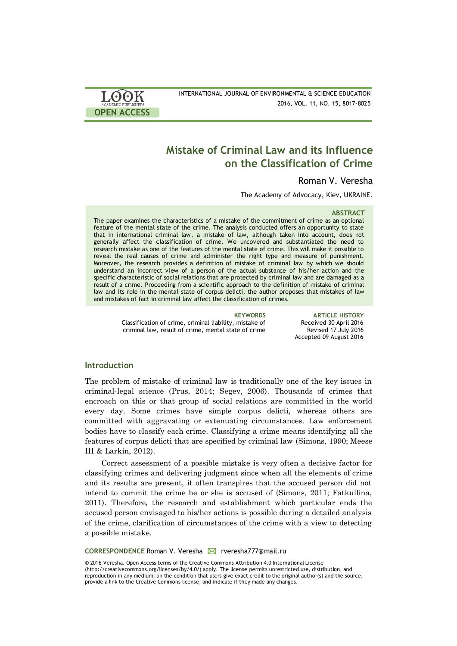

INTERNATIONAL JOURNAL OF ENVIRONMENTAL & SCIENCE EDUCATION 2016, VOL. 11, NO. 15, 8017-8025

# **Mistake of Criminal Law and its Influence on the Classification of Crime**

# Roman V. Veresha

The Academy of Advocacy, Kiev, UKRAINE.

### **ABSTRACT**

The paper examines the characteristics of a mistake of the commitment of crime as an optional feature of the mental state of the crime. The analysis conducted offers an opportunity to state that in international criminal law, a mistake of law, although taken into account, does not generally affect the classification of crime. We uncovered and substantiated the need to research mistake as one of the features of the mental state of crime. This will make it possible to reveal the real causes of crime and administer the right type and measure of punishment. Moreover, the research provides a definition of mistake of criminal law by which we should understand an incorrect view of a person of the actual substance of his/her action and the specific characteristic of social relations that are protected by criminal law and are damaged as a result of a crime. Proceeding from a scientific approach to the definition of mistake of criminal law and its role in the mental state of corpus delicti, the author proposes that mistakes of law and mistakes of fact in criminal law affect the classification of crimes.

> Classification of crime, criminal liability, mistake of criminal law, result of crime, mental state of crime

**KEYWORDS ARTICLE HISTORY** Received 30 April 2016 Revised 17 July 2016 Accepted 09 August 2016

### **Introduction**

The problem of mistake of criminal law is traditionally one of the key issues in criminal-legal science (Prus, 2014; Segev, 2006). Thousands of crimes that encroach on this or that group of social relations are committed in the world every day. Some crimes have simple corpus delicti, whereas others are committed with aggravating or extenuating circumstances. Law enforcement bodies have to classify each crime. Classifying a crime means identifying all the features of corpus delicti that are specified by criminal law (Simons, 1990; Meese III & Larkin, 2012).

Correct assessment of a possible mistake is very often a decisive factor for classifying crimes and delivering judgment since when all the elements of crime and its results are present, it often transpires that the accused person did not intend to commit the crime he or she is accused of (Simons, 2011; Fatkullina, 2011). Therefore, the research and establishment which particular ends the accused person envisaged to his/her actions is possible during a detailed analysis of the crime, clarification of circumstances of the crime with a view to detecting a possible mistake.

**CORRESPONDENCE Roman V. Veresha M** rveresha777@mail.ru

© 2016 Veresha. Open Access terms of the Creative Commons Attribution 4.0 International License (http://creativecommons.org/licenses/by/4.0/) apply. The license permits unrestricted use, distribution, and reproduction in any medium, on the condition that users give exact credit to the original author(s) and the source, provide a link to the Creative Commons license, and indicate if they made any changes.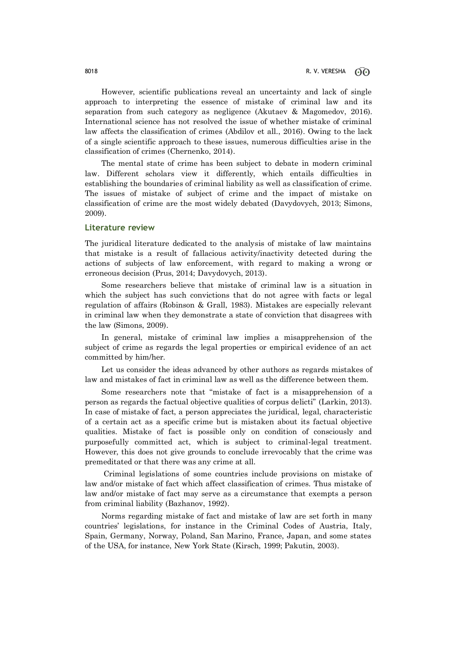However, scientific publications reveal an uncertainty and lack of single approach to interpreting the essence of mistake of criminal law and its separation from such category as negligence (Akutaev & Magomedov, 2016). International science has not resolved the issue of whether mistake of criminal law affects the classification of crimes (Abdilov et all., 2016). Owing to the lack of a single scientific approach to these issues, numerous difficulties arise in the classification of crimes (Chernenko, 2014).

The mental state of crime has been subject to debate in modern criminal law. Different scholars view it differently, which entails difficulties in establishing the boundaries of criminal liability as well as classification of crime. The issues of mistake of subject of crime and the impact of mistake on classification of crime are the most widely debated (Davydovych, 2013; Simons, 2009).

### **Literature review**

The juridical literature dedicated to the analysis of mistake of law maintains that mistake is a result of fallacious activity/inactivity detected during the actions of subjects of law enforcement, with regard to making a wrong or erroneous decision (Prus, 2014; Davydovych, 2013).

Some researchers believe that mistake of criminal law is a situation in which the subject has such convictions that do not agree with facts or legal regulation of affairs (Robinson & Grall, 1983). Mistakes are especially relevant in criminal law when they demonstrate a state of conviction that disagrees with the law (Simons, 2009).

In general, mistake of criminal law implies a misapprehension of the subject of crime as regards the legal properties or empirical evidence of an act committed by him/her.

Let us consider the ideas advanced by other authors as regards mistakes of law and mistakes of fact in criminal law as well as the difference between them.

Some researchers note that "mistake of fact is a misapprehension of a person as regards the factual objective qualities of corpus delicti" (Larkin, 2013). In case of mistake of fact, a person appreciates the juridical, legal, characteristic of a certain act as a specific crime but is mistaken about its factual objective qualities. Mistake of fact is possible only on condition of consciously and purposefully committed act, which is subject to criminal-legal treatment. However, this does not give grounds to conclude irrevocably that the crime was premeditated or that there was any crime at all.

Criminal legislations of some countries include provisions on mistake of law and/or mistake of fact which affect classification of crimes. Thus mistake of law and/or mistake of fact may serve as a circumstance that exempts a person from criminal liability (Bazhanov, 1992).

Norms regarding mistake of fact and mistake of law are set forth in many countries' legislations, for instance in the Criminal Codes of Austria, Italy, Spain, Germany, Norway, Poland, San Marino, France, Japan, and some states of the USA, for instance, New York State (Kirsch, 1999; Pakutin, 2003).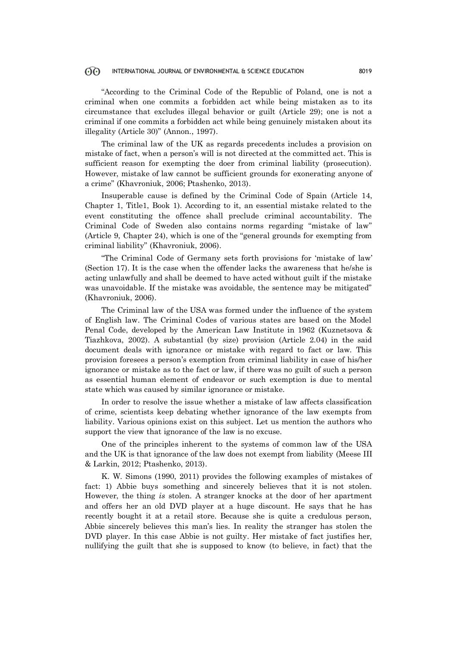"According to the Criminal Code of the Republic of Poland, one is not a criminal when one commits a forbidden act while being mistaken as to its circumstance that excludes illegal behavior or guilt (Article 29); one is not a criminal if one commits a forbidden act while being genuinely mistaken about its illegality (Article 30)" (Annon., 1997).

The criminal law of the UK as regards precedents includes a provision on mistake of fact, when a person's will is not directed at the committed act. This is sufficient reason for exempting the doer from criminal liability (prosecution). However, mistake of law cannot be sufficient grounds for exonerating anyone of a crime" (Khavroniuk, 2006; Ptashenko, 2013).

Insuperable cause is defined by the Criminal Code of Spain (Article 14, Chapter 1, Title1, Book 1). According to it, an essential mistake related to the event constituting the offence shall preclude criminal accountability. The Criminal Code of Sweden also contains norms regarding "mistake of law" (Article 9, Chapter 24), which is one of the "general grounds for exempting from criminal liability" (Khavroniuk, 2006).

"The Criminal Code of Germany sets forth provisions for 'mistake of law' (Section 17). It is the case when the offender lacks the awareness that he/she is acting unlawfully and shall be deemed to have acted without guilt if the mistake was unavoidable. If the mistake was avoidable, the sentence may be mitigated" (Khavroniuk, 2006).

The Criminal law of the USA was formed under the influence of the system of English law. The Criminal Codes of various states are based on the Model Penal Code, developed by the American Law Institute in 1962 (Kuznetsova & Tiazhkova, 2002). A substantial (by size) provision (Article 2.04) in the said document deals with ignorance or mistake with regard to fact or law. This provision foresees a person's exemption from criminal liability in case of his/her ignorance or mistake as to the fact or law, if there was no guilt of such a person as essential human element of endeavor or such exemption is due to mental state which was caused by similar ignorance or mistake.

In order to resolve the issue whether a mistake of law affects classification of crime, scientists keep debating whether ignorance of the law exempts from liability. Various opinions exist on this subject. Let us mention the authors who support the view that ignorance of the law is no excuse.

One of the principles inherent to the systems of common law of the USA and the UK is that ignorance of the law does not exempt from liability (Meese III & Larkin, 2012; Ptashenko, 2013).

K. W. Simons (1990, 2011) provides the following examples of mistakes of fact: 1) Abbie buys something and sincerely believes that it is not stolen. However, the thing *is* stolen. A stranger knocks at the door of her apartment and offers her an old DVD player at a huge discount. He says that he has recently bought it at a retail store. Because she is quite a credulous person, Abbie sincerely believes this man's lies. In reality the stranger has stolen the DVD player. In this case Abbie is not guilty. Her mistake of fact justifies her, nullifying the guilt that she is supposed to know (to believe, in fact) that the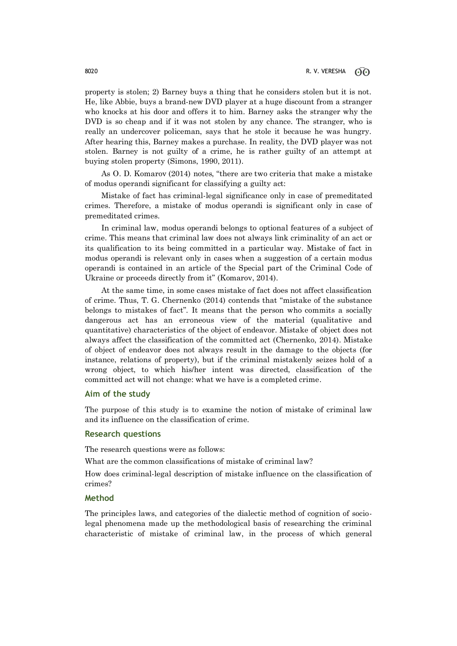property is stolen; 2) Barney buys a thing that he considers stolen but it is not. He, like Abbie, buys a brand-new DVD player at a huge discount from a stranger who knocks at his door and offers it to him. Barney asks the stranger why the DVD is so cheap and if it was not stolen by any chance. The stranger, who is really an undercover policeman, says that he stole it because he was hungry. After hearing this, Barney makes a purchase. In reality, the DVD player was not stolen. Barney is not guilty of a crime, he is rather guilty of an attempt at buying stolen property (Simons, 1990, 2011).

As O. D. Komarov (2014) notes, "there are two criteria that make a mistake of modus operandi significant for classifying a guilty act:

Mistake of fact has criminal-legal significance only in case of premeditated crimes. Therefore, a mistake of modus operandi is significant only in case of premeditated crimes.

In criminal law, modus operandi belongs to optional features of a subject of crime. This means that criminal law does not always link criminality of an act or its qualification to its being committed in a particular way. Mistake of fact in modus operandi is relevant only in cases when a suggestion of a certain modus operandi is contained in an article of the Special part of the Criminal Code of Ukraine or proceeds directly from it" (Komarov, 2014).

At the same time, in some cases mistake of fact does not affect classification of crime. Thus, T. G. Chernenko (2014) contends that "mistake of the substance belongs to mistakes of fact". It means that the person who commits a socially dangerous act has an erroneous view of the material (qualitative and quantitative) characteristics of the object of endeavor. Mistake of object does not always affect the classification of the committed act (Chernenko, 2014). Mistake of object of endeavor does not always result in the damage to the objects (for instance, relations of property), but if the criminal mistakenly seizes hold of a wrong object, to which his/her intent was directed, classification of the committed act will not change: what we have is a completed crime.

# **Aim of the study**

The purpose of this study is to examine the notion of mistake of criminal law and its influence on the classification of crime.

### **Research questions**

The research questions were as follows:

What are the common classifications of mistake of criminal law?

How does criminal-legal description of mistake influence on the classification of crimes?

## **Method**

The principles laws, and categories of the dialectic method of cognition of sociolegal phenomena made up the methodological basis of researching the criminal characteristic of mistake of criminal law, in the process of which general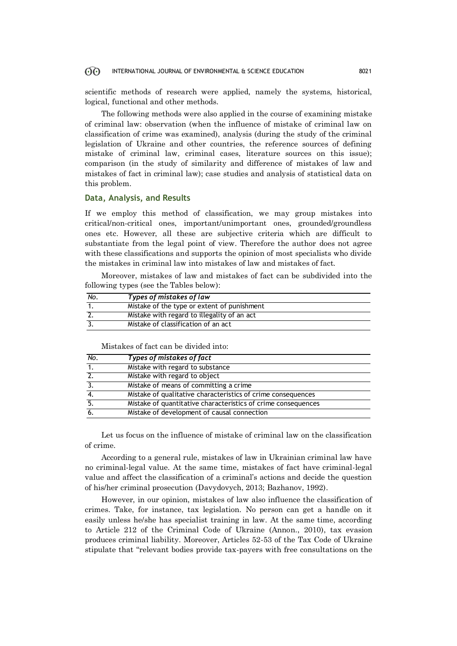scientific methods of research were applied, namely the systems, historical, logical, functional and other methods.

The following methods were also applied in the course of examining mistake of criminal law: observation (when the influence of mistake of criminal law on classification of crime was examined), analysis (during the study of the criminal legislation of Ukraine and other countries, the reference sources of defining mistake of criminal law, criminal cases, literature sources on this issue); comparison (in the study of similarity and difference of mistakes of law and mistakes of fact in criminal law); case studies and analysis of statistical data on this problem.

# **Data, Analysis, and Results**

If we employ this method of classification, we may group mistakes into critical/non-critical ones, important/unimportant ones, grounded/groundless ones etc. However, all these are subjective criteria which are difficult to substantiate from the legal point of view. Therefore the author does not agree with these classifications and supports the opinion of most specialists who divide the mistakes in criminal law into mistakes of law and mistakes of fact.

Moreover, mistakes of law and mistakes of fact can be subdivided into the following types (see the Tables below):

| No. | Types of mistakes of law                    |
|-----|---------------------------------------------|
|     | Mistake of the type or extent of punishment |
|     | Mistake with regard to illegality of an act |
|     | Mistake of classification of an act         |

Mistakes of fact can be divided into:

| No.              | Types of mistakes of fact                                     |  |
|------------------|---------------------------------------------------------------|--|
| $\overline{1}$ . | Mistake with regard to substance                              |  |
| $\overline{2}$ . | Mistake with regard to object                                 |  |
| $\overline{3}$ . | Mistake of means of committing a crime                        |  |
| 4.               | Mistake of qualitative characteristics of crime consequences  |  |
| $\overline{5}$ . | Mistake of quantitative characteristics of crime consequences |  |
| 6.               | Mistake of development of causal connection                   |  |

Let us focus on the influence of mistake of criminal law on the classification of crime.

According to a general rule, mistakes of law in Ukrainian criminal law have no criminal-legal value. At the same time, mistakes of fact have criminal-legal value and affect the classification of a criminal's actions and decide the question of his/her criminal prosecution (Davydovych, 2013; Bazhanov, 1992).

However, in our opinion, mistakes of law also influence the classification of crimes. Take, for instance, tax legislation. No person can get a handle on it easily unless he/she has specialist training in law. At the same time, according to Article 212 of the Criminal Code of Ukraine (Annon., 2010), tax evasion produces criminal liability. Moreover, Articles 52-53 of the Tax Code of Ukraine stipulate that "relevant bodies provide tax-payers with free consultations on the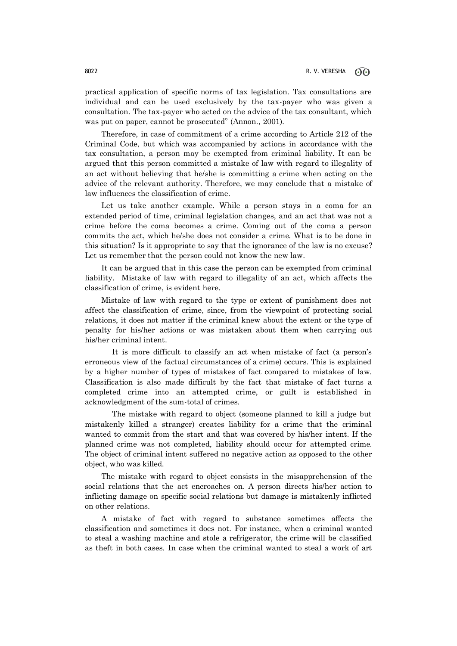practical application of specific norms of tax legislation. Tax consultations are individual and can be used exclusively by the tax-payer who was given a consultation. The tax-payer who acted on the advice of the tax consultant, which was put on paper, cannot be prosecuted" (Annon., 2001).

Therefore, in case of commitment of a crime according to Article 212 of the Criminal Code, but which was accompanied by actions in accordance with the tax consultation, a person may be exempted from criminal liability. It can be argued that this person committed a mistake of law with regard to illegality of an act without believing that he/she is committing a crime when acting on the advice of the relevant authority. Therefore, we may conclude that a mistake of law influences the classification of crime.

Let us take another example. While a person stays in a coma for an extended period of time, criminal legislation changes, and an act that was not a crime before the coma becomes a crime. Coming out of the coma a person commits the act, which he/she does not consider a crime. What is to be done in this situation? Is it appropriate to say that the ignorance of the law is no excuse? Let us remember that the person could not know the new law.

It can be argued that in this case the person can be exempted from criminal liability. Mistake of law with regard to illegality of an act, which affects the classification of crime, is evident here.

Mistake of law with regard to the type or extent of punishment does not affect the classification of crime, since, from the viewpoint of protecting social relations, it does not matter if the criminal knew about the extent or the type of penalty for his/her actions or was mistaken about them when carrying out his/her criminal intent.

It is more difficult to classify an act when mistake of fact (a person's erroneous view of the factual circumstances of a crime) occurs. This is explained by a higher number of types of mistakes of fact compared to mistakes of law. Classification is also made difficult by the fact that mistake of fact turns a completed crime into an attempted crime, or guilt is established in acknowledgment of the sum-total of crimes.

The mistake with regard to object (someone planned to kill a judge but mistakenly killed a stranger) creates liability for a crime that the criminal wanted to commit from the start and that was covered by his/her intent. If the planned crime was not completed, liability should occur for attempted crime. The object of criminal intent suffered no negative action as opposed to the other object, who was killed.

The mistake with regard to object consists in the misapprehension of the social relations that the act encroaches on. A person directs his/her action to inflicting damage on specific social relations but damage is mistakenly inflicted on other relations.

A mistake of fact with regard to substance sometimes affects the classification and sometimes it does not. For instance, when a criminal wanted to steal a washing machine and stole a refrigerator, the crime will be classified as theft in both cases. In case when the criminal wanted to steal a work of art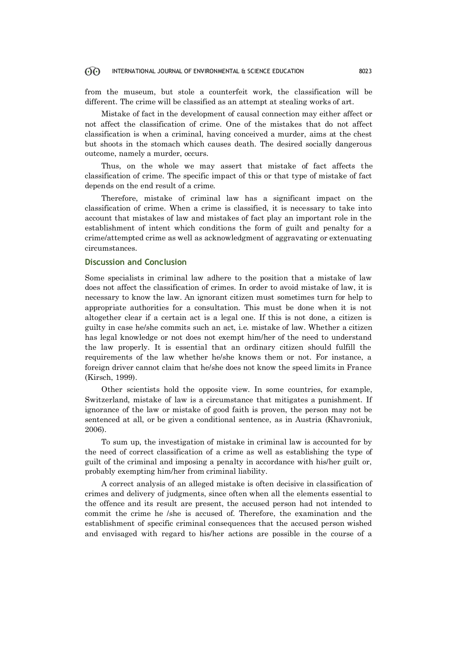from the museum, but stole a counterfeit work, the classification will be different. The crime will be classified as an attempt at stealing works of art.

Mistake of fact in the development of causal connection may either affect or not affect the classification of crime. One of the mistakes that do not affect classification is when a criminal, having conceived a murder, aims at the chest but shoots in the stomach which causes death. The desired socially dangerous outcome, namely a murder, occurs.

Thus, on the whole we may assert that mistake of fact affects the classification of crime. The specific impact of this or that type of mistake of fact depends on the end result of a crime.

Therefore, mistake of criminal law has a significant impact on the classification of crime. When a crime is classified, it is necessary to take into account that mistakes of law and mistakes of fact play an important role in the establishment of intent which conditions the form of guilt and penalty for a crime/attempted crime as well as acknowledgment of aggravating or extenuating circumstances.

# **Discussion and Conclusion**

Some specialists in criminal law adhere to the position that a mistake of law does not affect the classification of crimes. In order to avoid mistake of law, it is necessary to know the law. An ignorant citizen must sometimes turn for help to appropriate authorities for a consultation. This must be done when it is not altogether clear if a certain act is a legal one. If this is not done, a citizen is guilty in case he/she commits such an act, i.e. mistake of law. Whether a citizen has legal knowledge or not does not exempt him/her of the need to understand the law properly. It is essential that an ordinary citizen should fulfill the requirements of the law whether he/she knows them or not. For instance, a foreign driver cannot claim that he/she does not know the speed limits in France (Kirsch, 1999).

Other scientists hold the opposite view. In some countries, for example, Switzerland, mistake of law is a circumstance that mitigates a punishment. If ignorance of the law or mistake of good faith is proven, the person may not be sentenced at all, or be given a conditional sentence, as in Austria (Khavroniuk, 2006).

To sum up, the investigation of mistake in criminal law is accounted for by the need of correct classification of a crime as well as establishing the type of guilt of the criminal and imposing a penalty in accordance with his/her guilt or, probably exempting him/her from criminal liability.

A correct analysis of an alleged mistake is often decisive in classification of crimes and delivery of judgments, since often when all the elements essential to the offence and its result are present, the accused person had not intended to commit the crime he /she is accused of. Therefore, the examination and the establishment of specific criminal consequences that the accused person wished and envisaged with regard to his/her actions are possible in the course of a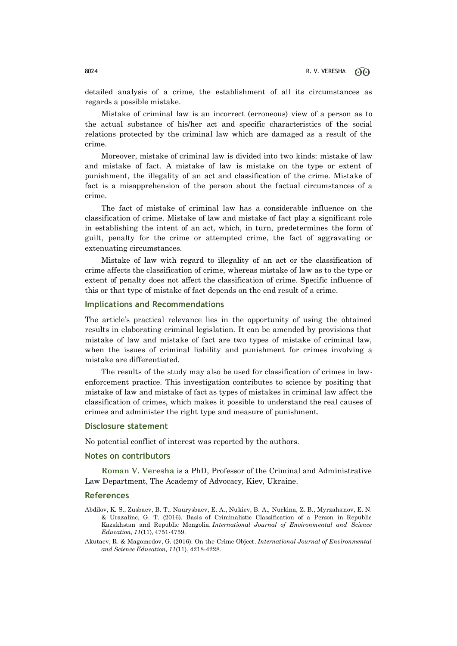detailed analysis of a crime, the establishment of all its circumstances as regards a possible mistake.

Mistake of criminal law is an incorrect (erroneous) view of a person as to the actual substance of his/her act and specific characteristics of the social relations protected by the criminal law which are damaged as a result of the crime.

Moreover, mistake of criminal law is divided into two kinds: mistake of law and mistake of fact. A mistake of law is mistake on the type or extent of punishment, the illegality of an act and classification of the crime. Mistake of fact is a misapprehension of the person about the factual circumstances of a crime.

The fact of mistake of criminal law has a considerable influence on the classification of crime. Mistake of law and mistake of fact play a significant role in establishing the intent of an act, which, in turn, predetermines the form of guilt, penalty for the crime or attempted crime, the fact of aggravating or extenuating circumstances.

Mistake of law with regard to illegality of an act or the classification of crime affects the classification of crime, whereas mistake of law as to the type or extent of penalty does not affect the classification of crime. Specific influence of this or that type of mistake of fact depends on the end result of a crime.

## **Implications and Recommendations**

The article's practical relevance lies in the opportunity of using the obtained results in elaborating criminal legislation. It can be amended by provisions that mistake of law and mistake of fact are two types of mistake of criminal law, when the issues of criminal liability and punishment for crimes involving a mistake are differentiated.

The results of the study may also be used for classification of crimes in lawenforcement practice. This investigation contributes to science by positing that mistake of law and mistake of fact as types of mistakes in criminal law affect the classification of crimes, which makes it possible to understand the real causes of crimes and administer the right type and measure of punishment.

### **Disclosure statement**

No potential conflict of interest was reported by the authors.

### **Notes on contributors**

**Roman V. Veresha** is a PhD, Professor of the Criminal and Administrative Law Department, The Academy of Advocacy, Kiev, Ukraine.

# **References**

- Abdilov, K. S., Zusbaev, B. T., Naurysbaev, E. A., Nukiev, B. A., Nurkina, Z. B., Myrzahanov, E. N. & Urazalinc, G. T. (2016). Basis of Criminalistic Classification of a Person in Republic Kazakhstan and Republic Mongolia. *International Journal of Environmental and Science Education, 11*(11), 4751-4759.
- Akutaev, R. & Magomedov, G. (2016). On the Crime Object. *International Journal of Environmental and Science Education, 11*(11), 4218-4228.